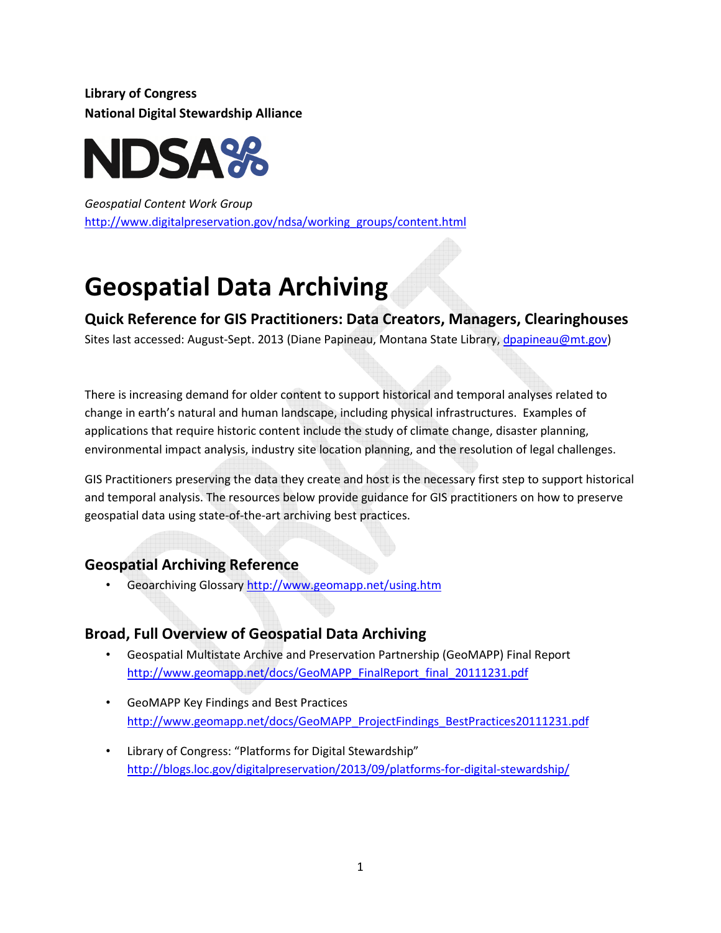Library of Congress National Digital Stewardship Alliance



Geospatial Content Work Group http://www.digitalpreservation.gov/ndsa/working\_groups/content.html

# Geospatial Data Archiving

Quick Reference for GIS Practitioners: Data Creators, Managers, Clearinghouses

Sites last accessed: August-Sept. 2013 (Diane Papineau, Montana State Library, dpapineau@mt.gov)

There is increasing demand for older content to support historical and temporal analyses related to change in earth's natural and human landscape, including physical infrastructures. Examples of applications that require historic content include the study of climate change, disaster planning, environmental impact analysis, industry site location planning, and the resolution of legal challenges.

GIS Practitioners preserving the data they create and host is the necessary first step to support historical and temporal analysis. The resources below provide guidance for GIS practitioners on how to preserve geospatial data using state-of-the-art archiving best practices.

## Geospatial Archiving Reference

• Geoarchiving Glossary http://www.geomapp.net/using.htm

## Broad, Full Overview of Geospatial Data Archiving

- Geospatial Multistate Archive and Preservation Partnership (GeoMAPP) Final Report http://www.geomapp.net/docs/GeoMAPP\_FinalReport\_final\_20111231.pdf
- GeoMAPP Key Findings and Best Practices http://www.geomapp.net/docs/GeoMAPP\_ProjectFindings\_BestPractices20111231.pdf
- Library of Congress: "Platforms for Digital Stewardship" http://blogs.loc.gov/digitalpreservation/2013/09/platforms-for-digital-stewardship/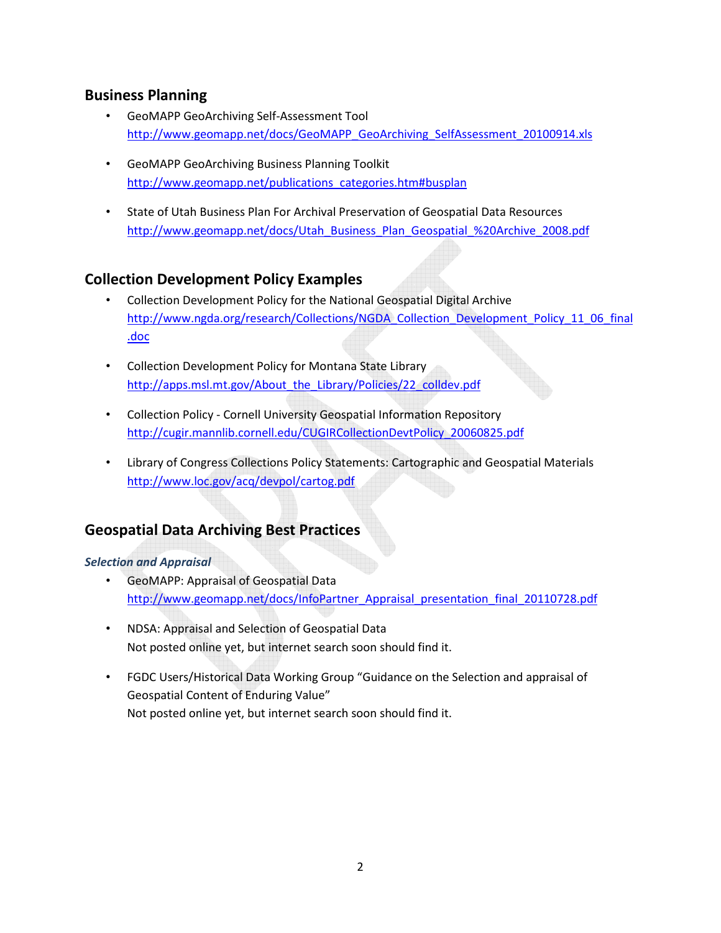### Business Planning

- GeoMAPP GeoArchiving Self-Assessment Tool http://www.geomapp.net/docs/GeoMAPP\_GeoArchiving\_SelfAssessment\_20100914.xls
- GeoMAPP GeoArchiving Business Planning Toolkit http://www.geomapp.net/publications\_categories.htm#busplan
- State of Utah Business Plan For Archival Preservation of Geospatial Data Resources http://www.geomapp.net/docs/Utah\_Business\_Plan\_Geospatial\_%20Archive\_2008.pdf

## Collection Development Policy Examples

- Collection Development Policy for the National Geospatial Digital Archive http://www.ngda.org/research/Collections/NGDA\_Collection\_Development\_Policy\_11\_06\_final .doc
- Collection Development Policy for Montana State Library http://apps.msl.mt.gov/About\_the\_Library/Policies/22\_colldev.pdf
- Collection Policy Cornell University Geospatial Information Repository http://cugir.mannlib.cornell.edu/CUGIRCollectionDevtPolicy\_20060825.pdf
- Library of Congress Collections Policy Statements: Cartographic and Geospatial Materials http://www.loc.gov/acq/devpol/cartog.pdf

## Geospatial Data Archiving Best Practices

#### Selection and Appraisal

- GeoMAPP: Appraisal of Geospatial Data http://www.geomapp.net/docs/InfoPartner\_Appraisal\_presentation\_final\_20110728.pdf
- NDSA: Appraisal and Selection of Geospatial Data Not posted online yet, but internet search soon should find it.
- FGDC Users/Historical Data Working Group "Guidance on the Selection and appraisal of Geospatial Content of Enduring Value" Not posted online yet, but internet search soon should find it.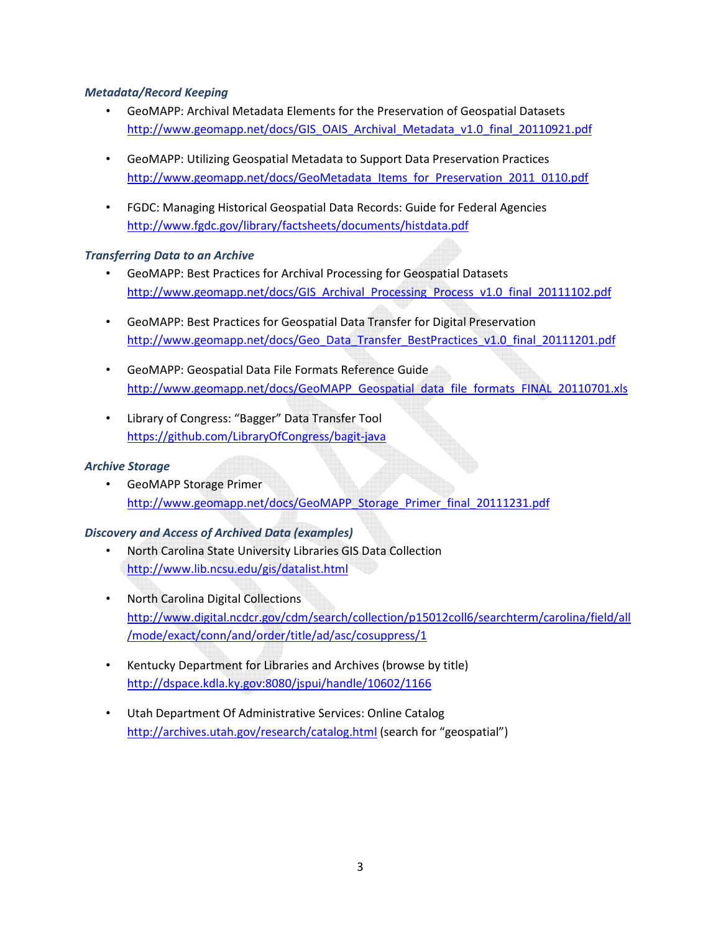#### Metadata/Record Keeping

- GeoMAPP: Archival Metadata Elements for the Preservation of Geospatial Datasets http://www.geomapp.net/docs/GIS\_OAIS\_Archival\_Metadata\_v1.0\_final\_20110921.pdf
- GeoMAPP: Utilizing Geospatial Metadata to Support Data Preservation Practices http://www.geomapp.net/docs/GeoMetadata\_Items\_for\_Preservation\_2011\_0110.pdf
- FGDC: Managing Historical Geospatial Data Records: Guide for Federal Agencies http://www.fgdc.gov/library/factsheets/documents/histdata.pdf

#### Transferring Data to an Archive

- GeoMAPP: Best Practices for Archival Processing for Geospatial Datasets http://www.geomapp.net/docs/GIS\_Archival\_Processing\_Process\_v1.0\_final\_20111102.pdf
- GeoMAPP: Best Practices for Geospatial Data Transfer for Digital Preservation http://www.geomapp.net/docs/Geo\_Data\_Transfer\_BestPractices\_v1.0\_final\_20111201.pdf
- GeoMAPP: Geospatial Data File Formats Reference Guide http://www.geomapp.net/docs/GeoMAPP\_Geospatial\_data\_file\_formats\_FINAL\_20110701.xls
- Library of Congress: "Bagger" Data Transfer Tool https://github.com/LibraryOfCongress/bagit-java

#### Archive Storage

• GeoMAPP Storage Primer http://www.geomapp.net/docs/GeoMAPP\_Storage\_Primer\_final\_20111231.pdf

#### Discovery and Access of Archived Data (examples)

- North Carolina State University Libraries GIS Data Collection http://www.lib.ncsu.edu/gis/datalist.html
- North Carolina Digital Collections http://www.digital.ncdcr.gov/cdm/search/collection/p15012coll6/searchterm/carolina/field/all /mode/exact/conn/and/order/title/ad/asc/cosuppress/1
- Kentucky Department for Libraries and Archives (browse by title) http://dspace.kdla.ky.gov:8080/jspui/handle/10602/1166
- Utah Department Of Administrative Services: Online Catalog http://archives.utah.gov/research/catalog.html (search for "geospatial")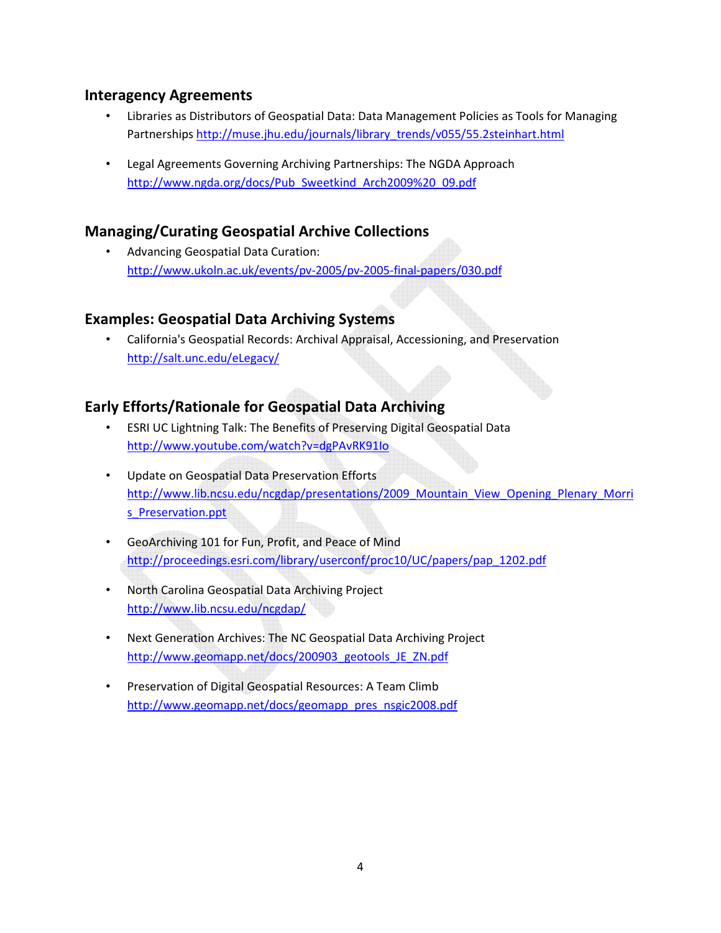#### Interagency Agreements

- Libraries as Distributors of Geospatial Data: Data Management Policies as Tools for Managing Partnerships http://muse.jhu.edu/journals/library\_trends/v055/55.2steinhart.html
- Legal Agreements Governing Archiving Partnerships: The NGDA Approach http://www.ngda.org/docs/Pub\_Sweetkind\_Arch2009%20\_09.pdf

## Managing/Curating Geospatial Archive Collections

• Advancing Geospatial Data Curation: http://www.ukoln.ac.uk/events/pv-2005/pv-2005-final-papers/030.pdf

## Examples: Geospatial Data Archiving Systems

• California's Geospatial Records: Archival Appraisal, Accessioning, and Preservation http://salt.unc.edu/eLegacy/

## Early Efforts/Rationale for Geospatial Data Archiving

- ESRI UC Lightning Talk: The Benefits of Preserving Digital Geospatial Data http://www.youtube.com/watch?v=dgPAvRK91Io
- Update on Geospatial Data Preservation Efforts http://www.lib.ncsu.edu/ncgdap/presentations/2009\_Mountain\_View\_Opening\_Plenary\_Morri s Preservation.ppt
- GeoArchiving 101 for Fun, Profit, and Peace of Mind http://proceedings.esri.com/library/userconf/proc10/UC/papers/pap\_1202.pdf
- North Carolina Geospatial Data Archiving Project http://www.lib.ncsu.edu/ncgdap/
- Next Generation Archives: The NC Geospatial Data Archiving Project http://www.geomapp.net/docs/200903\_geotools\_JE\_ZN.pdf
- Preservation of Digital Geospatial Resources: A Team Climb http://www.geomapp.net/docs/geomapp\_pres\_nsgic2008.pdf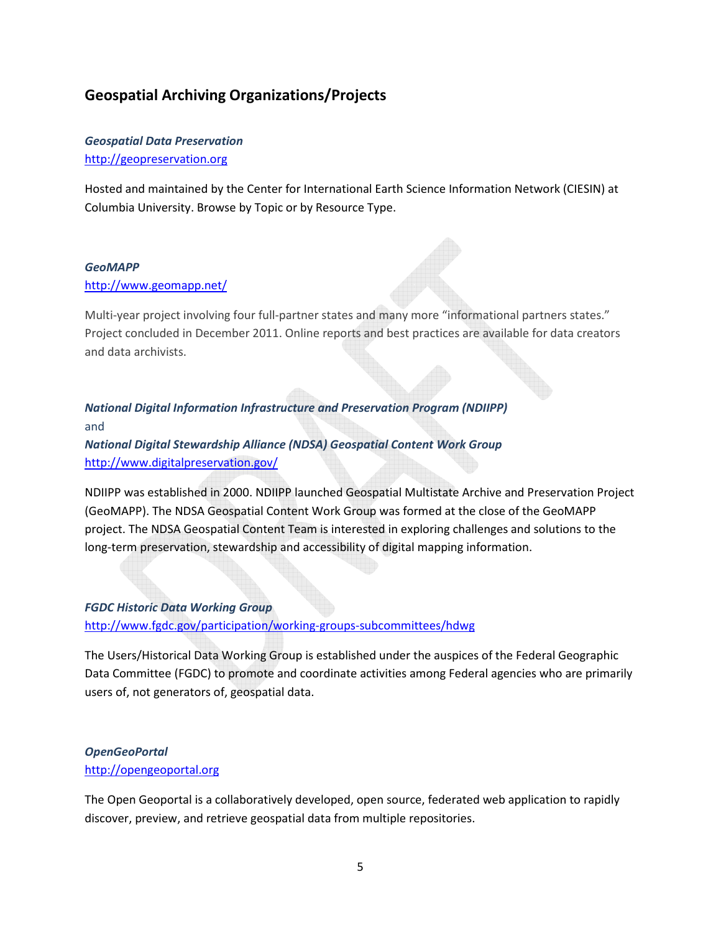## Geospatial Archiving Organizations/Projects

#### Geospatial Data Preservation http://geopreservation.org

Hosted and maintained by the Center for International Earth Science Information Network (CIESIN) at Columbia University. Browse by Topic or by Resource Type.

#### GeoMAPP

#### http://www.geomapp.net/

Multi-year project involving four full-partner states and many more "informational partners states." Project concluded in December 2011. Online reports and best practices are available for data creators and data archivists.

National Digital Information Infrastructure and Preservation Program (NDIIPP) and National Digital Stewardship Alliance (NDSA) Geospatial Content Work Group http://www.digitalpreservation.gov/

NDIIPP was established in 2000. NDIIPP launched Geospatial Multistate Archive and Preservation Project (GeoMAPP). The NDSA Geospatial Content Work Group was formed at the close of the GeoMAPP project. The NDSA Geospatial Content Team is interested in exploring challenges and solutions to the long-term preservation, stewardship and accessibility of digital mapping information.

#### FGDC Historic Data Working Group

http://www.fgdc.gov/participation/working-groups-subcommittees/hdwg

The Users/Historical Data Working Group is established under the auspices of the Federal Geographic Data Committee (FGDC) to promote and coordinate activities among Federal agencies who are primarily users of, not generators of, geospatial data.

## OpenGeoPortal

#### http://opengeoportal.org

The Open Geoportal is a collaboratively developed, open source, federated web application to rapidly discover, preview, and retrieve geospatial data from multiple repositories.